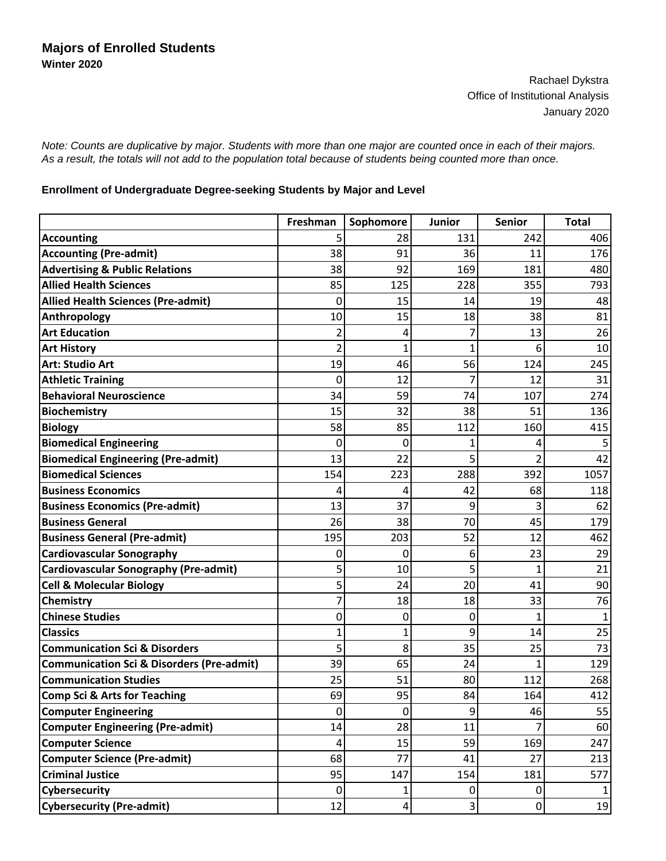Rachael Dykstra Office of Institutional Analysis January 2020

*Note: Counts are duplicative by major. Students with more than one major are counted once in each of their majors. As a result, the totals will not add to the population total because of students being counted more than once.*

## **Enrollment of Undergraduate Degree-seeking Students by Major and Level**

|                                                      | Freshman       | Sophomore       | Junior         | <b>Senior</b>  | <b>Total</b> |
|------------------------------------------------------|----------------|-----------------|----------------|----------------|--------------|
| <b>Accounting</b>                                    | 5              | 28              | 131            | 242            | 406          |
| <b>Accounting (Pre-admit)</b>                        | 38             | 91              | 36             | 11             | 176          |
| <b>Advertising &amp; Public Relations</b>            | 38             | 92              | 169            | 181            | 480          |
| <b>Allied Health Sciences</b>                        | 85             | 125             | 228            | 355            | 793          |
| <b>Allied Health Sciences (Pre-admit)</b>            | 0              | 15              | 14             | 19             | 48           |
| Anthropology                                         | 10             | 15              | 18             | 38             | 81           |
| <b>Art Education</b>                                 | 2              | 4               | 7              | 13             | 26           |
| <b>Art History</b>                                   | $\overline{2}$ | 1               | $\overline{1}$ | 6              | 10           |
| <b>Art: Studio Art</b>                               | 19             | 46              | 56             | 124            | 245          |
| <b>Athletic Training</b>                             | 0              | 12              | 7              | 12             | 31           |
| <b>Behavioral Neuroscience</b>                       | 34             | 59              | 74             | 107            | 274          |
| <b>Biochemistry</b>                                  | 15             | 32              | 38             | 51             | 136          |
| <b>Biology</b>                                       | 58             | 85              | 112            | 160            | 415          |
| <b>Biomedical Engineering</b>                        | 0              | 0               | 1              | 4              | 5            |
| <b>Biomedical Engineering (Pre-admit)</b>            | 13             | 22              | 5              | $\overline{2}$ | 42           |
| <b>Biomedical Sciences</b>                           | 154            | 223             | 288            | 392            | 1057         |
| <b>Business Economics</b>                            | 4              | 4               | 42             | 68             | 118          |
| <b>Business Economics (Pre-admit)</b>                | 13             | 37              | 9              | 3              | 62           |
| <b>Business General</b>                              | 26             | 38              | 70             | 45             | 179          |
| <b>Business General (Pre-admit)</b>                  | 195            | 203             | 52             | 12             | 462          |
| <b>Cardiovascular Sonography</b>                     | 0              | $\mathbf{0}$    | 6              | 23             | 29           |
| <b>Cardiovascular Sonography (Pre-admit)</b>         | 5              | 10              | 5              | $\mathbf{1}$   | 21           |
| <b>Cell &amp; Molecular Biology</b>                  | 5              | 24              | 20             | 41             | 90           |
| <b>Chemistry</b>                                     |                | 18              | 18             | 33             | 76           |
| <b>Chinese Studies</b>                               | 0              | 0               | 0              | $\mathbf{1}$   | $\mathbf{1}$ |
| <b>Classics</b>                                      |                | 1               | 9              | 14             | 25           |
| <b>Communication Sci &amp; Disorders</b>             | 5              | 8               | 35             | 25             | 73           |
| <b>Communication Sci &amp; Disorders (Pre-admit)</b> | 39             | 65              | 24             | $\mathbf{1}$   | 129          |
| <b>Communication Studies</b>                         | 25             | 51              | 80             | 112            | 268          |
| Comp Sci & Arts for Teaching                         | 69             | 95              | 84             | 164            | 412          |
| <b>Computer Engineering</b>                          | 0              | $\mathbf 0$     | 9              | 46             | 55           |
| <b>Computer Engineering (Pre-admit)</b>              | 14             | 28              | 11             |                | 60           |
| <b>Computer Science</b>                              | 4              | 15              | 59             | 169            | 247          |
| <b>Computer Science (Pre-admit)</b>                  | 68             | 77              | 41             | 27             | 213          |
| <b>Criminal Justice</b>                              | 95             | 147             | 154            | 181            | 577          |
| <b>Cybersecurity</b>                                 | 0              | 1               | 0              | $\pmb{0}$      |              |
| <b>Cybersecurity (Pre-admit)</b>                     | 12             | $\vert 4 \vert$ | 3              | $\pmb{0}$      | 19           |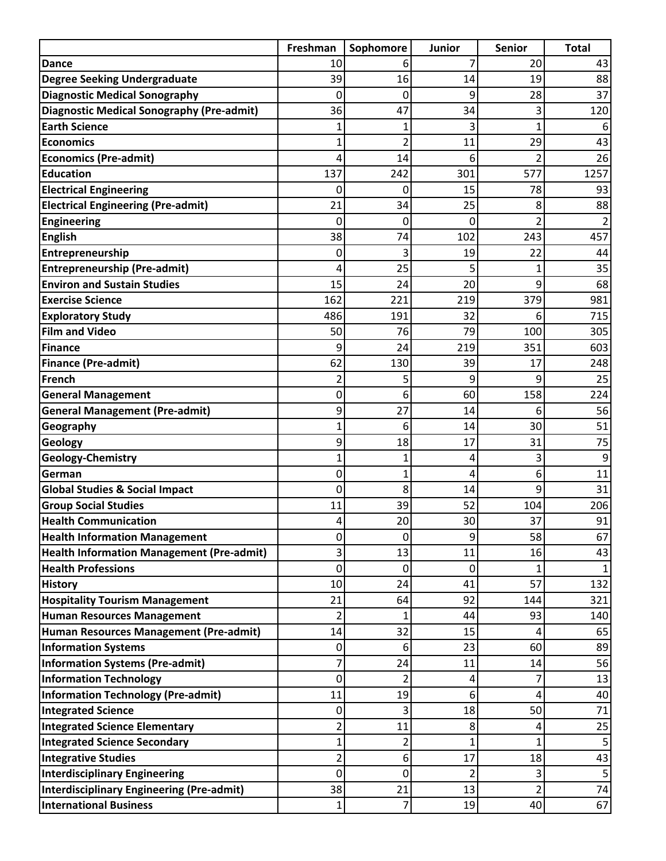|                                                  | Freshman       | Sophomore      | Junior         | <b>Senior</b>  | <b>Total</b>  |
|--------------------------------------------------|----------------|----------------|----------------|----------------|---------------|
| <b>Dance</b>                                     | 10             | 6              | 7              | 20             | 43            |
| <b>Degree Seeking Undergraduate</b>              | 39             | 16             | 14             | 19             | 88            |
| <b>Diagnostic Medical Sonography</b>             | 0              | 0              | 9              | 28             | 37            |
| <b>Diagnostic Medical Sonography (Pre-admit)</b> | 36             | 47             | 34             | 3              | 120           |
| <b>Earth Science</b>                             | 1              |                | 3              | 1              |               |
| <b>Economics</b>                                 | 1              | 2              | 11             | 29             | 43            |
| <b>Economics (Pre-admit)</b>                     | 4              | 14             | 6              |                | 26            |
| <b>Education</b>                                 | 137            | 242            | 301            | 577            | 1257          |
| <b>Electrical Engineering</b>                    | 0              | 0              | 15             | 78             | 93            |
| <b>Electrical Engineering (Pre-admit)</b>        | 21             | 34             | 25             | 8              | 88            |
| <b>Engineering</b>                               | 0              | 0              | 0              | 2              | $\mathcal{P}$ |
| <b>English</b>                                   | 38             | 74             | 102            | 243            | 457           |
| Entrepreneurship                                 | 0              | 3              | 19             | 22             | 44            |
| <b>Entrepreneurship (Pre-admit)</b>              | 4              | 25             | 5              | 1              | 35            |
| <b>Environ and Sustain Studies</b>               | 15             | 24             | 20             | 9              | 68            |
| <b>Exercise Science</b>                          | 162            | 221            | 219            | 379            | 981           |
| <b>Exploratory Study</b>                         | 486            | 191            | 32             | 6              | 715           |
| <b>Film and Video</b>                            | 50             | 76             | 79             | 100            | 305           |
| <b>Finance</b>                                   | 9              | 24             | 219            | 351            | 603           |
| <b>Finance (Pre-admit)</b>                       | 62             | 130            | 39             | 17             | 248           |
| <b>French</b>                                    | $\overline{2}$ | 5              | 9              | 9              | 25            |
| <b>General Management</b>                        | 0              | 6              | 60             | 158            | 224           |
| <b>General Management (Pre-admit)</b>            | 9              | 27             | 14             | 6              | 56            |
| Geography                                        | 1              | 6              | 14             | 30             | 51            |
| Geology                                          | 9              | 18             | 17             | 31             | 75            |
| Geology-Chemistry                                | $\mathbf{1}$   | 1              | 4              | 3              | 9             |
| German                                           | 0              | 1              | 4              | 6              | 11            |
| <b>Global Studies &amp; Social Impact</b>        | 0              | 8              | 14             | 9              | 31            |
| <b>Group Social Studies</b>                      | 11             | 39             | 52             | 104            | 206           |
| <b>Health Communication</b>                      | 4              | 20             | 30             | 37             | 91            |
| <b>Health Information Management</b>             | 0              | 0              | 9              | 58             | 67            |
| <b>Health Information Management (Pre-admit)</b> | 3              | 13             | 11             | 16             | 43            |
| <b>Health Professions</b>                        | 0              | 0              | 0              | 1              |               |
| <b>History</b>                                   | 10             | 24             | 41             | 57             | 132           |
| <b>Hospitality Tourism Management</b>            | 21             | 64             | 92             | 144            | 321           |
| <b>Human Resources Management</b>                | 2              |                | 44             | 93             | 140           |
| Human Resources Management (Pre-admit)           | 14             | 32             | 15             | 4              | 65            |
| <b>Information Systems</b>                       | 0              | 6              | 23             | 60             | 89            |
| <b>Information Systems (Pre-admit)</b>           | 7              | 24             | 11             | 14             | 56            |
| <b>Information Technology</b>                    | 0              | $\overline{2}$ | 4              | 7              | 13            |
| <b>Information Technology (Pre-admit)</b>        | 11             | 19             | 6              | 4              | 40            |
| <b>Integrated Science</b>                        | 0              | 3              | 18             | 50             | 71            |
| <b>Integrated Science Elementary</b>             | 2              | 11             | 8              | 4              | 25            |
| <b>Integrated Science Secondary</b>              | $\mathbf 1$    | $\overline{2}$ | $\mathbf{1}$   | 1              | 5             |
| <b>Integrative Studies</b>                       | $\overline{c}$ | 6              | 17             | 18             | 43            |
| <b>Interdisciplinary Engineering</b>             | 0              | 0              | $\overline{2}$ | 3              | 5             |
| Interdisciplinary Engineering (Pre-admit)        | 38             | 21             | 13             | $\overline{2}$ | 74            |
| <b>International Business</b>                    | $\mathbf{1}$   | 7              | 19             | 40             | 67            |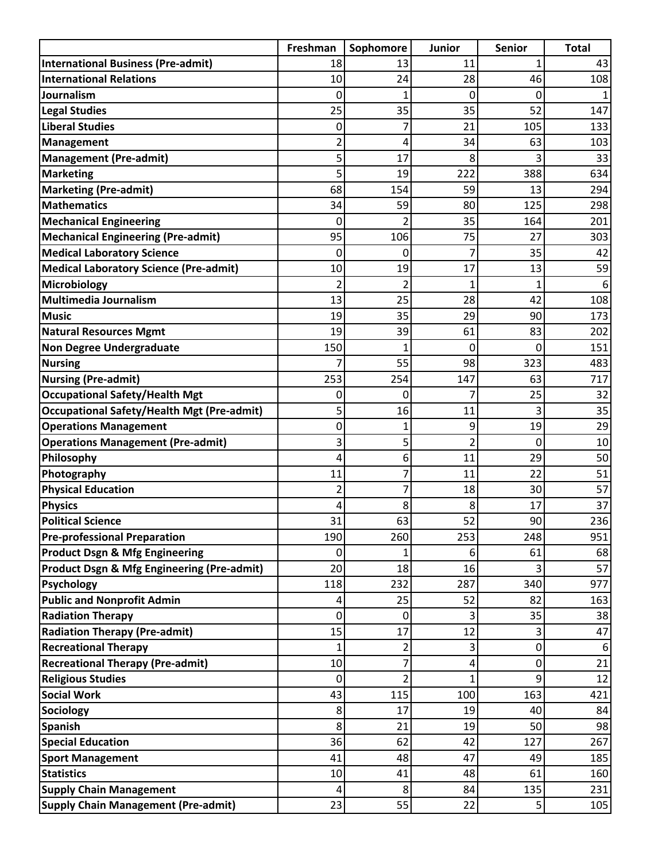|                                                       | Freshman       | Sophomore      | <b>Junior</b>  | Senior         | <b>Total</b> |
|-------------------------------------------------------|----------------|----------------|----------------|----------------|--------------|
| <b>International Business (Pre-admit)</b>             | 18             | 13             | 11             | 1              | 43           |
| <b>International Relations</b>                        | 10             | 24             | 28             | 46             | 108          |
| Journalism                                            | 0              | 1              | 0              | 0              |              |
| <b>Legal Studies</b>                                  | 25             | 35             | 35             | 52             | 147          |
| <b>Liberal Studies</b>                                | 0              | 7              | 21             | 105            | 133          |
| <b>Management</b>                                     | $\overline{c}$ | 4              | 34             | 63             | 103          |
| <b>Management (Pre-admit)</b>                         | 5              | 17             | 8              | 3              | 33           |
| <b>Marketing</b>                                      | 5              | 19             | 222            | 388            | 634          |
| <b>Marketing (Pre-admit)</b>                          | 68             | 154            | 59             | 13             | 294          |
| <b>Mathematics</b>                                    | 34             | 59             | 80             | 125            | 298          |
| <b>Mechanical Engineering</b>                         | 0              | $\mathfrak{p}$ | 35             | 164            | 201          |
| <b>Mechanical Engineering (Pre-admit)</b>             | 95             | 106            | 75             | 27             | 303          |
| <b>Medical Laboratory Science</b>                     | 0              | 0              | 7              | 35             | 42           |
| <b>Medical Laboratory Science (Pre-admit)</b>         | 10             | 19             | 17             | 13             | 59           |
| Microbiology                                          | $\overline{2}$ |                | 1              | 1              | 6            |
| <b>Multimedia Journalism</b>                          | 13             | 25             | 28             | 42             | 108          |
| <b>Music</b>                                          | 19             | 35             | 29             | 90             | 173          |
| <b>Natural Resources Mgmt</b>                         | 19             | 39             | 61             | 83             | 202          |
| <b>Non Degree Undergraduate</b>                       | 150            |                | 0              | 0              | 151          |
| <b>Nursing</b>                                        | 7              | 55             | 98             | 323            | 483          |
| <b>Nursing (Pre-admit)</b>                            | 253            | 254            | 147            | 63             | 717          |
| <b>Occupational Safety/Health Mgt</b>                 | 0              | 0              | 7              | 25             | 32           |
| <b>Occupational Safety/Health Mgt (Pre-admit)</b>     | 5              | 16             | 11             | 3              | 35           |
| <b>Operations Management</b>                          | 0              | 1              | 9              | 19             | 29           |
| <b>Operations Management (Pre-admit)</b>              | 3              | 5              | $\overline{c}$ | 0              | 10           |
| Philosophy                                            | 4              | 6              | 11             | 29             | 50           |
| Photography                                           | 11             | 7              | 11             | 22             | 51           |
| <b>Physical Education</b>                             | $\overline{2}$ | 7              | 18             | 30             | 57           |
| <b>Physics</b><br><b>Political Science</b>            | 4              | 8<br>63        | 8              | 17<br>90       | 37           |
| <b>Pre-professional Preparation</b>                   | 31             | 260            | 52<br>253      | 248            | 236<br>951   |
| <b>Product Dsgn &amp; Mfg Engineering</b>             | 190<br>0       |                | 6              | 61             |              |
| <b>Product Dsgn &amp; Mfg Engineering (Pre-admit)</b> | 20             | 18             | 16             | 3              | 68<br>57     |
| <b>Psychology</b>                                     | 118            | 232            | 287            | 340            | 977          |
| <b>Public and Nonprofit Admin</b>                     | 4              | 25             | 52             | 82             | 163          |
| <b>Radiation Therapy</b>                              | 0              | 0              | 3              | 35             | 38           |
| <b>Radiation Therapy (Pre-admit)</b>                  | 15             | 17             | 12             | 3              | 47           |
| <b>Recreational Therapy</b>                           | 1              | 2              | 3              | 0              | 6            |
| <b>Recreational Therapy (Pre-admit)</b>               | 10             | 7              | 4              | 0              | 21           |
| <b>Religious Studies</b>                              | 0              | 2              | $\mathbf{1}$   | 9              | 12           |
| <b>Social Work</b>                                    | 43             | 115            | 100            | 163            | 421          |
| <b>Sociology</b>                                      | 8              | 17             | 19             | 40             | 84           |
| <b>Spanish</b>                                        | 8              | 21             | 19             | 50             | 98           |
| <b>Special Education</b>                              | 36             | 62             | 42             | 127            | 267          |
| <b>Sport Management</b>                               | 41             | 48             | 47             | 49             | 185          |
| <b>Statistics</b>                                     | 10             | 41             | 48             | 61             | 160          |
| <b>Supply Chain Management</b>                        | 4              | 8              | 84             | 135            | 231          |
| <b>Supply Chain Management (Pre-admit)</b>            | 23             | 55             | 22             | $\overline{5}$ | 105          |
|                                                       |                |                |                |                |              |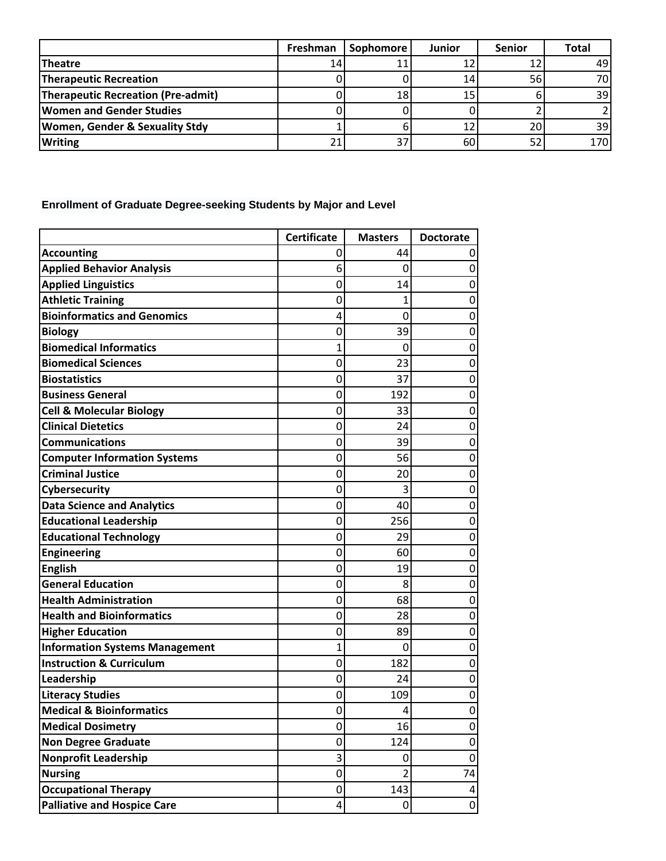|                                           | Freshman | <b>Sophomore</b> | <b>Junior</b> | <b>Senior</b> | <b>Total</b> |
|-------------------------------------------|----------|------------------|---------------|---------------|--------------|
| Theatre                                   | 14       |                  | 12            |               | 49           |
| Therapeutic Recreation                    |          |                  | 14            | 56            | 70           |
| Therapeutic Recreation (Pre-admit)        |          | 18               | 15            |               | 39           |
| <b>Women and Gender Studies</b>           |          |                  |               |               |              |
| <b>Women, Gender &amp; Sexuality Stdy</b> |          |                  | 12            | 20            | 39I          |
| <b>Writing</b>                            |          | っっ               | 60            |               | 170          |

## **Enrollment of Graduate Degree-seeking Students by Major and Level**

|                                       | <b>Certificate</b> | <b>Masters</b> | <b>Doctorate</b> |
|---------------------------------------|--------------------|----------------|------------------|
| <b>Accounting</b>                     | 0                  | 44             | 0                |
| <b>Applied Behavior Analysis</b>      | 6                  | 0              | 0                |
| <b>Applied Linguistics</b>            | 0                  | 14             | 0                |
| <b>Athletic Training</b>              | 0                  | 1              | 0                |
| <b>Bioinformatics and Genomics</b>    | 4                  | 0              | 0                |
| <b>Biology</b>                        | 0                  | 39             | 0                |
| <b>Biomedical Informatics</b>         | 1                  | 0              | 0                |
| <b>Biomedical Sciences</b>            | 0                  | 23             | 0                |
| <b>Biostatistics</b>                  | 0                  | 37             | 0                |
| <b>Business General</b>               | 0                  | 192            | 0                |
| <b>Cell &amp; Molecular Biology</b>   | 0                  | 33             | 0                |
| <b>Clinical Dietetics</b>             | 0                  | 24             | 0                |
| <b>Communications</b>                 | 0                  | 39             | $\mathbf 0$      |
| <b>Computer Information Systems</b>   | 0                  | 56             | 0                |
| <b>Criminal Justice</b>               | 0                  | 20             | 0                |
| Cybersecurity                         | 0                  | 3              | 0                |
| <b>Data Science and Analytics</b>     | 0                  | 40             | 0                |
| <b>Educational Leadership</b>         | 0                  | 256            | 0                |
| <b>Educational Technology</b>         | 0                  | 29             | 0                |
| <b>Engineering</b>                    | 0                  | 60             | 0                |
| <b>English</b>                        | 0                  | 19             | 0                |
| <b>General Education</b>              | 0                  | 8              | 0                |
| <b>Health Administration</b>          | 0                  | 68             | 0                |
| <b>Health and Bioinformatics</b>      | 0                  | 28             | 0                |
| <b>Higher Education</b>               | 0                  | 89             | 0                |
| <b>Information Systems Management</b> | 1                  | 0              | 0                |
| <b>Instruction &amp; Curriculum</b>   | 0                  | 182            | 0                |
| Leadership                            | 0                  | 24             | 0                |
| <b>Literacy Studies</b>               | 0                  | 109            | 0                |
| <b>Medical &amp; Bioinformatics</b>   | 0                  | 4              | 0                |
| <b>Medical Dosimetry</b>              | 0                  | 16             | 0                |
| <b>Non Degree Graduate</b>            | 0                  | 124            | 0                |
| <b>Nonprofit Leadership</b>           | 3                  | 0              | $\mathbf 0$      |
| <b>Nursing</b>                        | 0                  | $\overline{2}$ | 74               |
| <b>Occupational Therapy</b>           | 0                  | 143            | 4                |
| <b>Palliative and Hospice Care</b>    | 4                  | 0              | 0                |